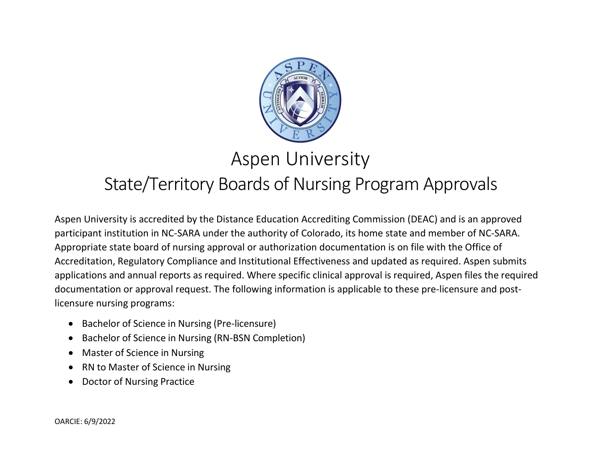

## Aspen University

## State/Territory Boards of Nursing Program Approvals

Aspen University is accredited by the Distance Education Accrediting Commission (DEAC) and is an approved participant institution in NC-SARA under the authority of Colorado, its home state and member of NC-SARA. Appropriate state board of nursing approval or authorization documentation is on file with the Office of Accreditation, Regulatory Compliance and Institutional Effectiveness and updated as required. Aspen submits applications and annual reports as required. Where specific clinical approval is required, Aspen files the required documentation or approval request. The following information is applicable to these pre-licensure and postlicensure nursing programs:

- Bachelor of Science in Nursing (Pre-licensure)
- Bachelor of Science in Nursing (RN-BSN Completion)
- Master of Science in Nursing
- RN to Master of Science in Nursing
- Doctor of Nursing Practice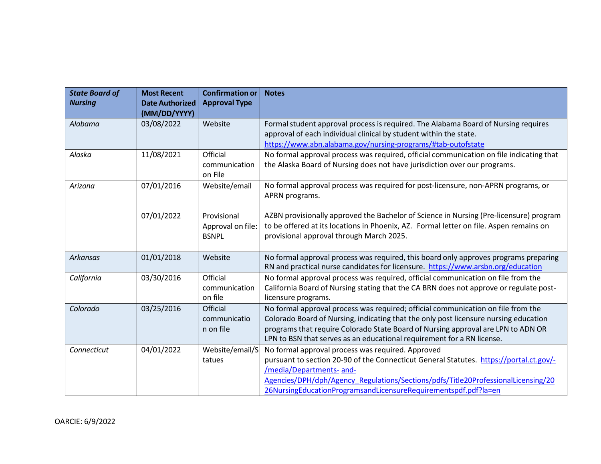| <b>State Board of</b><br><b>Nursing</b> | <b>Most Recent</b><br><b>Date Authorized</b><br>(MM/DD/YYYY) | <b>Confirmation or</b><br><b>Approval Type</b>   | <b>Notes</b>                                                                                                                                                                                                                                                                                                                           |
|-----------------------------------------|--------------------------------------------------------------|--------------------------------------------------|----------------------------------------------------------------------------------------------------------------------------------------------------------------------------------------------------------------------------------------------------------------------------------------------------------------------------------------|
| Alabama                                 | 03/08/2022                                                   | Website                                          | Formal student approval process is required. The Alabama Board of Nursing requires<br>approval of each individual clinical by student within the state.<br>https://www.abn.alabama.gov/nursing-programs/#tab-outofstate                                                                                                                |
| Alaska                                  | 11/08/2021                                                   | Official<br>communication<br>on File             | No formal approval process was required, official communication on file indicating that<br>the Alaska Board of Nursing does not have jurisdiction over our programs.                                                                                                                                                                   |
| Arizona                                 | 07/01/2016                                                   | Website/email                                    | No formal approval process was required for post-licensure, non-APRN programs, or<br>APRN programs.                                                                                                                                                                                                                                    |
|                                         | 07/01/2022                                                   | Provisional<br>Approval on file:<br><b>BSNPL</b> | AZBN provisionally approved the Bachelor of Science in Nursing (Pre-licensure) program<br>to be offered at its locations in Phoenix, AZ. Formal letter on file. Aspen remains on<br>provisional approval through March 2025.                                                                                                           |
| <b>Arkansas</b>                         | 01/01/2018                                                   | Website                                          | No formal approval process was required, this board only approves programs preparing<br>RN and practical nurse candidates for licensure. https://www.arsbn.org/education                                                                                                                                                               |
| California                              | 03/30/2016                                                   | Official<br>communication<br>on file             | No formal approval process was required, official communication on file from the<br>California Board of Nursing stating that the CA BRN does not approve or regulate post-<br>licensure programs.                                                                                                                                      |
| Colorado                                | 03/25/2016                                                   | Official<br>communicatio<br>n on file            | No formal approval process was required; official communication on file from the<br>Colorado Board of Nursing, indicating that the only post licensure nursing education<br>programs that require Colorado State Board of Nursing approval are LPN to ADN OR<br>LPN to BSN that serves as an educational requirement for a RN license. |
| Connecticut                             | 04/01/2022                                                   | Website/email/S<br>tatues                        | No formal approval process was required. Approved<br>pursuant to section 20-90 of the Connecticut General Statutes. https://portal.ct.gov/-<br>/media/Departments- and-<br>Agencies/DPH/dph/Agency Regulations/Sections/pdfs/Title20ProfessionalLicensing/20<br>26NursingEducationProgramsandLicensureRequirementspdf.pdf?la=en        |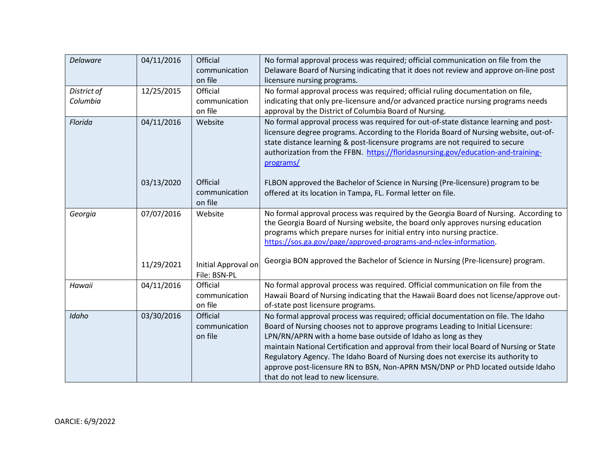| <b>Delaware</b>         | 04/11/2016 | Official<br>communication<br>on file | No formal approval process was required; official communication on file from the<br>Delaware Board of Nursing indicating that it does not review and approve on-line post<br>licensure nursing programs.                                                                                                                                                                                                                                                                                                                                      |
|-------------------------|------------|--------------------------------------|-----------------------------------------------------------------------------------------------------------------------------------------------------------------------------------------------------------------------------------------------------------------------------------------------------------------------------------------------------------------------------------------------------------------------------------------------------------------------------------------------------------------------------------------------|
| District of<br>Columbia | 12/25/2015 | Official<br>communication<br>on file | No formal approval process was required; official ruling documentation on file,<br>indicating that only pre-licensure and/or advanced practice nursing programs needs<br>approval by the District of Columbia Board of Nursing.                                                                                                                                                                                                                                                                                                               |
| Florida                 | 04/11/2016 | Website                              | No formal approval process was required for out-of-state distance learning and post-<br>licensure degree programs. According to the Florida Board of Nursing website, out-of-<br>state distance learning & post-licensure programs are not required to secure<br>authorization from the FFBN. https://floridasnursing.gov/education-and-training-<br>programs/                                                                                                                                                                                |
|                         | 03/13/2020 | Official<br>communication<br>on file | FLBON approved the Bachelor of Science in Nursing (Pre-licensure) program to be<br>offered at its location in Tampa, FL. Formal letter on file.                                                                                                                                                                                                                                                                                                                                                                                               |
| Georgia                 | 07/07/2016 | Website                              | No formal approval process was required by the Georgia Board of Nursing. According to<br>the Georgia Board of Nursing website, the board only approves nursing education<br>programs which prepare nurses for initial entry into nursing practice.<br>https://sos.ga.gov/page/approved-programs-and-nclex-information.                                                                                                                                                                                                                        |
|                         | 11/29/2021 | Initial Approval on<br>File: BSN-PL  | Georgia BON approved the Bachelor of Science in Nursing (Pre-licensure) program.                                                                                                                                                                                                                                                                                                                                                                                                                                                              |
| Hawaii                  | 04/11/2016 | Official<br>communication<br>on file | No formal approval process was required. Official communication on file from the<br>Hawaii Board of Nursing indicating that the Hawaii Board does not license/approve out-<br>of-state post licensure programs.                                                                                                                                                                                                                                                                                                                               |
| Idaho                   | 03/30/2016 | Official<br>communication<br>on file | No formal approval process was required; official documentation on file. The Idaho<br>Board of Nursing chooses not to approve programs Leading to Initial Licensure:<br>LPN/RN/APRN with a home base outside of Idaho as long as they<br>maintain National Certification and approval from their local Board of Nursing or State<br>Regulatory Agency. The Idaho Board of Nursing does not exercise its authority to<br>approve post-licensure RN to BSN, Non-APRN MSN/DNP or PhD located outside Idaho<br>that do not lead to new licensure. |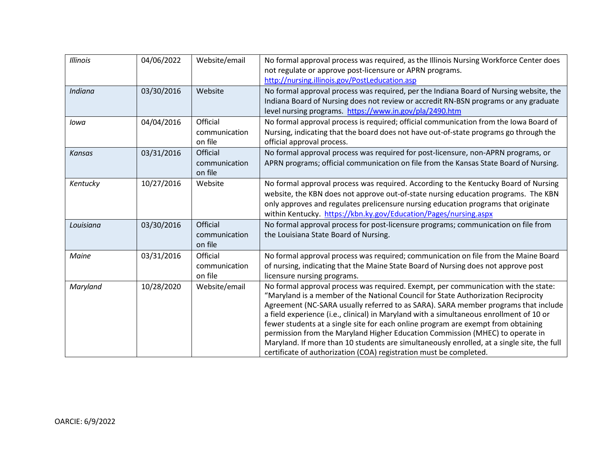| <b>Illinois</b> | 04/06/2022 | Website/email                        | No formal approval process was required, as the Illinois Nursing Workforce Center does<br>not regulate or approve post-licensure or APRN programs.<br>http://nursing.illinois.gov/PostLeducation.asp                                                                                                                                                                                                                                                                                                                                                                                                                                                                                               |
|-----------------|------------|--------------------------------------|----------------------------------------------------------------------------------------------------------------------------------------------------------------------------------------------------------------------------------------------------------------------------------------------------------------------------------------------------------------------------------------------------------------------------------------------------------------------------------------------------------------------------------------------------------------------------------------------------------------------------------------------------------------------------------------------------|
| Indiana         | 03/30/2016 | Website                              | No formal approval process was required, per the Indiana Board of Nursing website, the<br>Indiana Board of Nursing does not review or accredit RN-BSN programs or any graduate<br>level nursing programs. https://www.in.gov/pla/2490.htm                                                                                                                                                                                                                                                                                                                                                                                                                                                          |
| lowa            | 04/04/2016 | Official<br>communication<br>on file | No formal approval process is required; official communication from the Iowa Board of<br>Nursing, indicating that the board does not have out-of-state programs go through the<br>official approval process.                                                                                                                                                                                                                                                                                                                                                                                                                                                                                       |
| <b>Kansas</b>   | 03/31/2016 | Official<br>communication<br>on file | No formal approval process was required for post-licensure, non-APRN programs, or<br>APRN programs; official communication on file from the Kansas State Board of Nursing.                                                                                                                                                                                                                                                                                                                                                                                                                                                                                                                         |
| Kentucky        | 10/27/2016 | Website                              | No formal approval process was required. According to the Kentucky Board of Nursing<br>website, the KBN does not approve out-of-state nursing education programs. The KBN<br>only approves and regulates prelicensure nursing education programs that originate<br>within Kentucky. https://kbn.ky.gov/Education/Pages/nursing.aspx                                                                                                                                                                                                                                                                                                                                                                |
| Louisiana       | 03/30/2016 | Official<br>communication<br>on file | No formal approval process for post-licensure programs; communication on file from<br>the Louisiana State Board of Nursing.                                                                                                                                                                                                                                                                                                                                                                                                                                                                                                                                                                        |
| Maine           | 03/31/2016 | Official<br>communication<br>on file | No formal approval process was required; communication on file from the Maine Board<br>of nursing, indicating that the Maine State Board of Nursing does not approve post<br>licensure nursing programs.                                                                                                                                                                                                                                                                                                                                                                                                                                                                                           |
| Maryland        | 10/28/2020 | Website/email                        | No formal approval process was required. Exempt, per communication with the state:<br>"Maryland is a member of the National Council for State Authorization Reciprocity<br>Agreement (NC-SARA usually referred to as SARA). SARA member programs that include<br>a field experience (i.e., clinical) in Maryland with a simultaneous enrollment of 10 or<br>fewer students at a single site for each online program are exempt from obtaining<br>permission from the Maryland Higher Education Commission (MHEC) to operate in<br>Maryland. If more than 10 students are simultaneously enrolled, at a single site, the full<br>certificate of authorization (COA) registration must be completed. |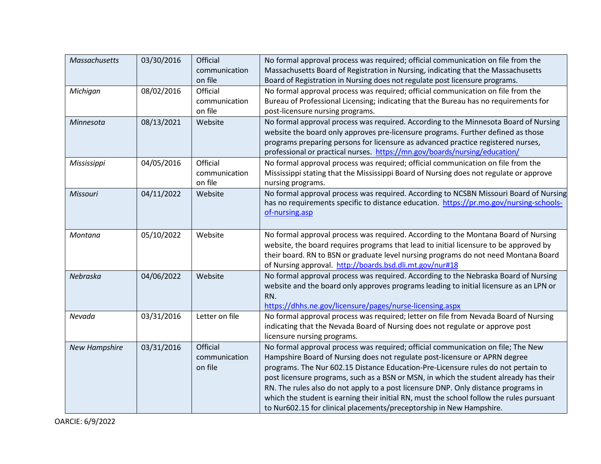| <b>Massachusetts</b> | 03/30/2016 | Official       | No formal approval process was required; official communication on file from the         |
|----------------------|------------|----------------|------------------------------------------------------------------------------------------|
|                      |            | communication  | Massachusetts Board of Registration in Nursing, indicating that the Massachusetts        |
|                      |            | on file        | Board of Registration in Nursing does not regulate post licensure programs.              |
| Michigan             | 08/02/2016 | Official       | No formal approval process was required; official communication on file from the         |
|                      |            | communication  | Bureau of Professional Licensing; indicating that the Bureau has no requirements for     |
|                      |            | on file        | post-licensure nursing programs.                                                         |
| Minnesota            | 08/13/2021 | Website        | No formal approval process was required. According to the Minnesota Board of Nursing     |
|                      |            |                | website the board only approves pre-licensure programs. Further defined as those         |
|                      |            |                | programs preparing persons for licensure as advanced practice registered nurses,         |
|                      |            |                | professional or practical nurses. https://mn.gov/boards/nursing/education/               |
| Mississippi          | 04/05/2016 | Official       | No formal approval process was required; official communication on file from the         |
|                      |            | communication  | Mississippi stating that the Mississippi Board of Nursing does not regulate or approve   |
|                      |            | on file        | nursing programs.                                                                        |
| Missouri             | 04/11/2022 | Website        | No formal approval process was required. According to NCSBN Missouri Board of Nursing    |
|                      |            |                | has no requirements specific to distance education. https://pr.mo.gov/nursing-schools-   |
|                      |            |                | of-nursing.asp                                                                           |
|                      |            |                |                                                                                          |
| Montana              | 05/10/2022 | Website        | No formal approval process was required. According to the Montana Board of Nursing       |
|                      |            |                | website, the board requires programs that lead to initial licensure to be approved by    |
|                      |            |                | their board. RN to BSN or graduate level nursing programs do not need Montana Board      |
|                      |            |                | of Nursing approval. http://boards.bsd.dli.mt.gov/nur#18                                 |
| Nebraska             | 04/06/2022 | Website        | No formal approval process was required. According to the Nebraska Board of Nursing      |
|                      |            |                | website and the board only approves programs leading to initial licensure as an LPN or   |
|                      |            |                | RN.                                                                                      |
|                      |            |                | https://dhhs.ne.gov/licensure/pages/nurse-licensing.aspx                                 |
| Nevada               | 03/31/2016 | Letter on file | No formal approval process was required; letter on file from Nevada Board of Nursing     |
|                      |            |                | indicating that the Nevada Board of Nursing does not regulate or approve post            |
|                      |            |                | licensure nursing programs.                                                              |
| <b>New Hampshire</b> | 03/31/2016 | Official       | No formal approval process was required; official communication on file; The New         |
|                      |            | communication  | Hampshire Board of Nursing does not regulate post-licensure or APRN degree               |
|                      |            | on file        | programs. The Nur 602.15 Distance Education-Pre-Licensure rules do not pertain to        |
|                      |            |                | post licensure programs, such as a BSN or MSN, in which the student already has their    |
|                      |            |                | RN. The rules also do not apply to a post licensure DNP. Only distance programs in       |
|                      |            |                | which the student is earning their initial RN, must the school follow the rules pursuant |
|                      |            |                | to Nur602.15 for clinical placements/preceptorship in New Hampshire.                     |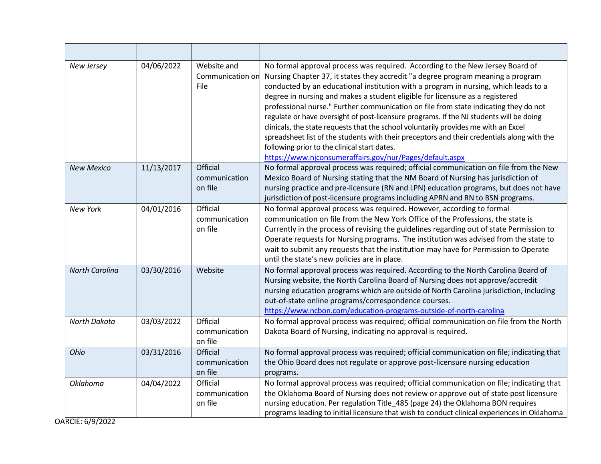| New Jersey            | 04/06/2022 | Website and<br>Communication on<br>File | No formal approval process was required. According to the New Jersey Board of<br>Nursing Chapter 37, it states they accredit "a degree program meaning a program<br>conducted by an educational institution with a program in nursing, which leads to a<br>degree in nursing and makes a student eligible for licensure as a registered<br>professional nurse." Further communication on file from state indicating they do not<br>regulate or have oversight of post-licensure programs. If the NJ students will be doing<br>clinicals, the state requests that the school voluntarily provides me with an Excel<br>spreadsheet list of the students with their preceptors and their credentials along with the<br>following prior to the clinical start dates.<br>https://www.njconsumeraffairs.gov/nur/Pages/default.aspx |
|-----------------------|------------|-----------------------------------------|------------------------------------------------------------------------------------------------------------------------------------------------------------------------------------------------------------------------------------------------------------------------------------------------------------------------------------------------------------------------------------------------------------------------------------------------------------------------------------------------------------------------------------------------------------------------------------------------------------------------------------------------------------------------------------------------------------------------------------------------------------------------------------------------------------------------------|
| <b>New Mexico</b>     | 11/13/2017 | Official<br>communication<br>on file    | No formal approval process was required; official communication on file from the New<br>Mexico Board of Nursing stating that the NM Board of Nursing has jurisdiction of<br>nursing practice and pre-licensure (RN and LPN) education programs, but does not have<br>jurisdiction of post-licensure programs including APRN and RN to BSN programs.                                                                                                                                                                                                                                                                                                                                                                                                                                                                          |
| <b>New York</b>       | 04/01/2016 | Official<br>communication<br>on file    | No formal approval process was required. However, according to formal<br>communication on file from the New York Office of the Professions, the state is<br>Currently in the process of revising the guidelines regarding out of state Permission to<br>Operate requests for Nursing programs. The institution was advised from the state to<br>wait to submit any requests that the institution may have for Permission to Operate<br>until the state's new policies are in place.                                                                                                                                                                                                                                                                                                                                          |
| <b>North Carolina</b> | 03/30/2016 | Website                                 | No formal approval process was required. According to the North Carolina Board of<br>Nursing website, the North Carolina Board of Nursing does not approve/accredit<br>nursing education programs which are outside of North Carolina jurisdiction, including<br>out-of-state online programs/correspondence courses.<br>https://www.ncbon.com/education-programs-outside-of-north-carolina                                                                                                                                                                                                                                                                                                                                                                                                                                  |
| North Dakota          | 03/03/2022 | Official<br>communication<br>on file    | No formal approval process was required; official communication on file from the North<br>Dakota Board of Nursing, indicating no approval is required.                                                                                                                                                                                                                                                                                                                                                                                                                                                                                                                                                                                                                                                                       |
| Ohio                  | 03/31/2016 | Official<br>communication<br>on file    | No formal approval process was required; official communication on file; indicating that<br>the Ohio Board does not regulate or approve post-licensure nursing education<br>programs.                                                                                                                                                                                                                                                                                                                                                                                                                                                                                                                                                                                                                                        |
| <b>Oklahoma</b>       | 04/04/2022 | Official<br>communication<br>on file    | No formal approval process was required; official communication on file; indicating that<br>the Oklahoma Board of Nursing does not review or approve out of state post licensure<br>nursing education. Per regulation Title_485 (page 24) the Oklahoma BON requires<br>programs leading to initial licensure that wish to conduct clinical experiences in Oklahoma                                                                                                                                                                                                                                                                                                                                                                                                                                                           |

OARCIE: 6/9/2022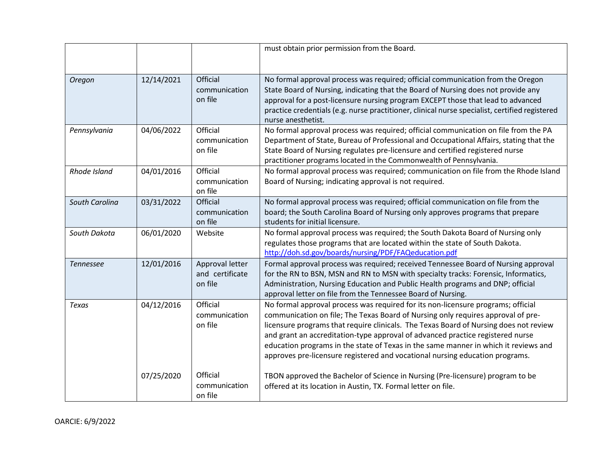|                  |            |                                               | must obtain prior permission from the Board.                                                                                                                                                                                                                                                                                                                                                                                                                                                                           |
|------------------|------------|-----------------------------------------------|------------------------------------------------------------------------------------------------------------------------------------------------------------------------------------------------------------------------------------------------------------------------------------------------------------------------------------------------------------------------------------------------------------------------------------------------------------------------------------------------------------------------|
| Oregon           | 12/14/2021 | Official<br>communication<br>on file          | No formal approval process was required; official communication from the Oregon<br>State Board of Nursing, indicating that the Board of Nursing does not provide any<br>approval for a post-licensure nursing program EXCEPT those that lead to advanced<br>practice credentials (e.g. nurse practitioner, clinical nurse specialist, certified registered<br>nurse anesthetist.                                                                                                                                       |
| Pennsylvania     | 04/06/2022 | Official<br>communication<br>on file          | No formal approval process was required; official communication on file from the PA<br>Department of State, Bureau of Professional and Occupational Affairs, stating that the<br>State Board of Nursing regulates pre-licensure and certified registered nurse<br>practitioner programs located in the Commonwealth of Pennsylvania.                                                                                                                                                                                   |
| Rhode Island     | 04/01/2016 | Official<br>communication<br>on file          | No formal approval process was required; communication on file from the Rhode Island<br>Board of Nursing; indicating approval is not required.                                                                                                                                                                                                                                                                                                                                                                         |
| South Carolina   | 03/31/2022 | Official<br>communication<br>on file          | No formal approval process was required; official communication on file from the<br>board; the South Carolina Board of Nursing only approves programs that prepare<br>students for initial licensure.                                                                                                                                                                                                                                                                                                                  |
| South Dakota     | 06/01/2020 | Website                                       | No formal approval process was required; the South Dakota Board of Nursing only<br>regulates those programs that are located within the state of South Dakota.<br>http://doh.sd.gov/boards/nursing/PDF/FAQeducation.pdf                                                                                                                                                                                                                                                                                                |
| <b>Tennessee</b> | 12/01/2016 | Approval letter<br>and certificate<br>on file | Formal approval process was required; received Tennessee Board of Nursing approval<br>for the RN to BSN, MSN and RN to MSN with specialty tracks: Forensic, Informatics,<br>Administration, Nursing Education and Public Health programs and DNP; official<br>approval letter on file from the Tennessee Board of Nursing.                                                                                                                                                                                             |
| Texas            | 04/12/2016 | Official<br>communication<br>on file          | No formal approval process was required for its non-licensure programs; official<br>communication on file; The Texas Board of Nursing only requires approval of pre-<br>licensure programs that require clinicals. The Texas Board of Nursing does not review<br>and grant an accreditation-type approval of advanced practice registered nurse<br>education programs in the state of Texas in the same manner in which it reviews and<br>approves pre-licensure registered and vocational nursing education programs. |
|                  | 07/25/2020 | Official<br>communication<br>on file          | TBON approved the Bachelor of Science in Nursing (Pre-licensure) program to be<br>offered at its location in Austin, TX. Formal letter on file.                                                                                                                                                                                                                                                                                                                                                                        |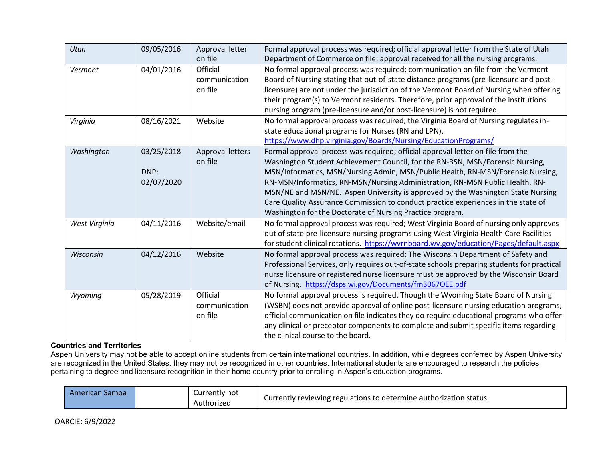| Utah          | 09/05/2016                       | Approval letter<br>on file           | Formal approval process was required; official approval letter from the State of Utah<br>Department of Commerce on file; approval received for all the nursing programs.                                                                                                                                                                                                                                                                                                                                                                                                 |
|---------------|----------------------------------|--------------------------------------|--------------------------------------------------------------------------------------------------------------------------------------------------------------------------------------------------------------------------------------------------------------------------------------------------------------------------------------------------------------------------------------------------------------------------------------------------------------------------------------------------------------------------------------------------------------------------|
| Vermont       | 04/01/2016                       | Official<br>communication<br>on file | No formal approval process was required; communication on file from the Vermont<br>Board of Nursing stating that out-of-state distance programs (pre-licensure and post-<br>licensure) are not under the jurisdiction of the Vermont Board of Nursing when offering<br>their program(s) to Vermont residents. Therefore, prior approval of the institutions<br>nursing program (pre-licensure and/or post-licensure) is not required.                                                                                                                                    |
| Virginia      | 08/16/2021                       | Website                              | No formal approval process was required; the Virginia Board of Nursing regulates in-<br>state educational programs for Nurses (RN and LPN).<br>https://www.dhp.virginia.gov/Boards/Nursing/EducationPrograms/                                                                                                                                                                                                                                                                                                                                                            |
| Washington    | 03/25/2018<br>DNP:<br>02/07/2020 | Approval letters<br>on file          | Formal approval process was required; official approval letter on file from the<br>Washington Student Achievement Council, for the RN-BSN, MSN/Forensic Nursing,<br>MSN/Informatics, MSN/Nursing Admin, MSN/Public Health, RN-MSN/Forensic Nursing,<br>RN-MSN/Informatics, RN-MSN/Nursing Administration, RN-MSN Public Health, RN-<br>MSN/NE and MSN/NE. Aspen University is approved by the Washington State Nursing<br>Care Quality Assurance Commission to conduct practice experiences in the state of<br>Washington for the Doctorate of Nursing Practice program. |
| West Virginia | 04/11/2016                       | Website/email                        | No formal approval process was required; West Virginia Board of nursing only approves<br>out of state pre-licensure nursing programs using West Virginia Health Care Facilities<br>for student clinical rotations. https://wvrnboard.wv.gov/education/Pages/default.aspx                                                                                                                                                                                                                                                                                                 |
| Wisconsin     | 04/12/2016                       | Website                              | No formal approval process was required; The Wisconsin Department of Safety and<br>Professional Services, only requires out-of-state schools preparing students for practical<br>nurse licensure or registered nurse licensure must be approved by the Wisconsin Board<br>of Nursing. https://dsps.wi.gov/Documents/fm3067OEE.pdf                                                                                                                                                                                                                                        |
| Wyoming       | 05/28/2019                       | Official<br>communication<br>on file | No formal approval process is required. Though the Wyoming State Board of Nursing<br>(WSBN) does not provide approval of online post-licensure nursing education programs,<br>official communication on file indicates they do require educational programs who offer<br>any clinical or preceptor components to complete and submit specific items regarding<br>the clinical course to the board.                                                                                                                                                                       |

## **Countries and Territories**

Aspen University may not be able to accept online students from certain international countries. In addition, while degrees conferred by Aspen University are recognized in the United States, they may not be recognized in other countries. International students are encouraged to research the policies pertaining to degree and licensure recognition in their home country prior to enrolling in Aspen's education programs.

| "American Samoa |  | Currently not<br>Authorized | Currently reviewing regulations to determine authorization status. |
|-----------------|--|-----------------------------|--------------------------------------------------------------------|
|-----------------|--|-----------------------------|--------------------------------------------------------------------|